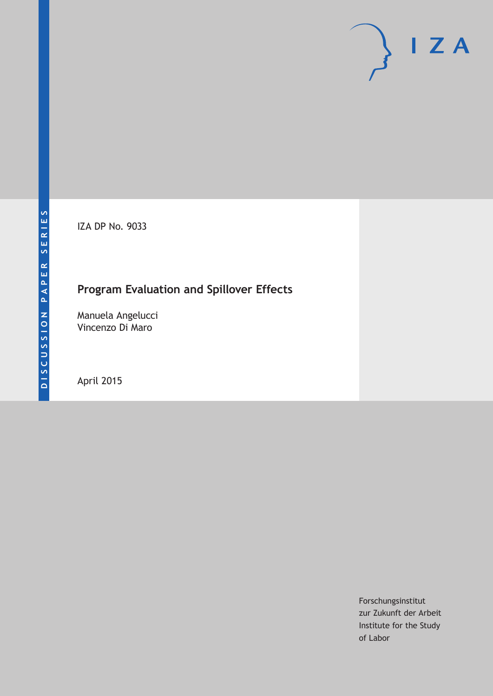IZA DP No. 9033

## **Program Evaluation and Spillover Effects**

Manuela Angelucci Vincenzo Di Maro

April 2015

Forschungsinstitut zur Zukunft der Arbeit Institute for the Study of Labor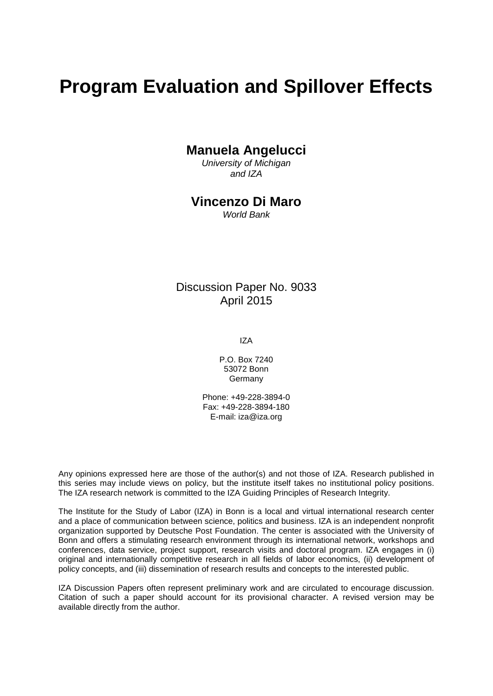# **Program Evaluation and Spillover Effects**

## **Manuela Angelucci**

*University of Michigan and IZA*

### **Vincenzo Di Maro**

*World Bank*

## Discussion Paper No. 9033 April 2015

IZA

P.O. Box 7240 53072 Bonn Germany

Phone: +49-228-3894-0 Fax: +49-228-3894-180 E-mail: iza@iza.org

Any opinions expressed here are those of the author(s) and not those of IZA. Research published in this series may include views on policy, but the institute itself takes no institutional policy positions. The IZA research network is committed to the IZA Guiding Principles of Research Integrity.

The Institute for the Study of Labor (IZA) in Bonn is a local and virtual international research center and a place of communication between science, politics and business. IZA is an independent nonprofit organization supported by Deutsche Post Foundation. The center is associated with the University of Bonn and offers a stimulating research environment through its international network, workshops and conferences, data service, project support, research visits and doctoral program. IZA engages in (i) original and internationally competitive research in all fields of labor economics, (ii) development of policy concepts, and (iii) dissemination of research results and concepts to the interested public.

<span id="page-1-0"></span>IZA Discussion Papers often represent preliminary work and are circulated to encourage discussion. Citation of such a paper should account for its provisional character. A revised version may be available directly from the author.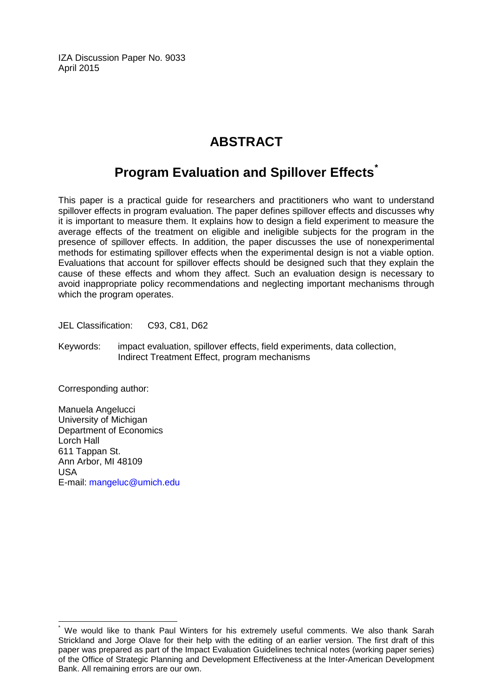IZA Discussion Paper No. 9033 April 2015

## **ABSTRACT**

## **Program Evaluation and Spillover Effects[\\*](#page-1-0)**

This paper is a practical guide for researchers and practitioners who want to understand spillover effects in program evaluation. The paper defines spillover effects and discusses why it is important to measure them. It explains how to design a field experiment to measure the average effects of the treatment on eligible and ineligible subjects for the program in the presence of spillover effects. In addition, the paper discusses the use of nonexperimental methods for estimating spillover effects when the experimental design is not a viable option. Evaluations that account for spillover effects should be designed such that they explain the cause of these effects and whom they affect. Such an evaluation design is necessary to avoid inappropriate policy recommendations and neglecting important mechanisms through which the program operates.

JEL Classification: C93, C81, D62

Keywords: impact evaluation, spillover effects, field experiments, data collection, Indirect Treatment Effect, program mechanisms

Corresponding author:

Manuela Angelucci University of Michigan Department of Economics Lorch Hall 611 Tappan St. Ann Arbor, MI 48109 USA E-mail: [mangeluc@umich.edu](mailto:mangeluc@umich.edu)

We would like to thank Paul Winters for his extremely useful comments. We also thank Sarah Strickland and Jorge Olave for their help with the editing of an earlier version. The first draft of this paper was prepared as part of the Impact Evaluation Guidelines technical notes (working paper series) of the Office of Strategic Planning and Development Effectiveness at the Inter-American Development Bank. All remaining errors are our own.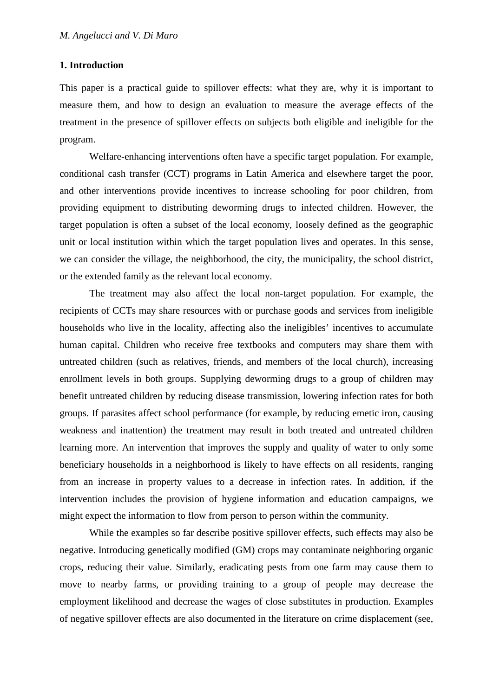#### **1. Introduction**

This paper is a practical guide to spillover effects: what they are, why it is important to measure them, and how to design an evaluation to measure the average effects of the treatment in the presence of spillover effects on subjects both eligible and ineligible for the program.

Welfare-enhancing interventions often have a specific target population. For example, conditional cash transfer (CCT) programs in Latin America and elsewhere target the poor, and other interventions provide incentives to increase schooling for poor children, from providing equipment to distributing deworming drugs to infected children. However, the target population is often a subset of the local economy, loosely defined as the geographic unit or local institution within which the target population lives and operates. In this sense, we can consider the village, the neighborhood, the city, the municipality, the school district, or the extended family as the relevant local economy.

The treatment may also affect the local non-target population. For example, the recipients of CCTs may share resources with or purchase goods and services from ineligible households who live in the locality, affecting also the ineligibles' incentives to accumulate human capital. Children who receive free textbooks and computers may share them with untreated children (such as relatives, friends, and members of the local church), increasing enrollment levels in both groups. Supplying deworming drugs to a group of children may benefit untreated children by reducing disease transmission, lowering infection rates for both groups. If parasites affect school performance (for example, by reducing emetic iron, causing weakness and inattention) the treatment may result in both treated and untreated children learning more. An intervention that improves the supply and quality of water to only some beneficiary households in a neighborhood is likely to have effects on all residents, ranging from an increase in property values to a decrease in infection rates. In addition, if the intervention includes the provision of hygiene information and education campaigns, we might expect the information to flow from person to person within the community.

While the examples so far describe positive spillover effects, such effects may also be negative. Introducing genetically modified (GM) crops may contaminate neighboring organic crops, reducing their value. Similarly, eradicating pests from one farm may cause them to move to nearby farms, or providing training to a group of people may decrease the employment likelihood and decrease the wages of close substitutes in production. Examples of negative spillover effects are also documented in the literature on crime displacement (see,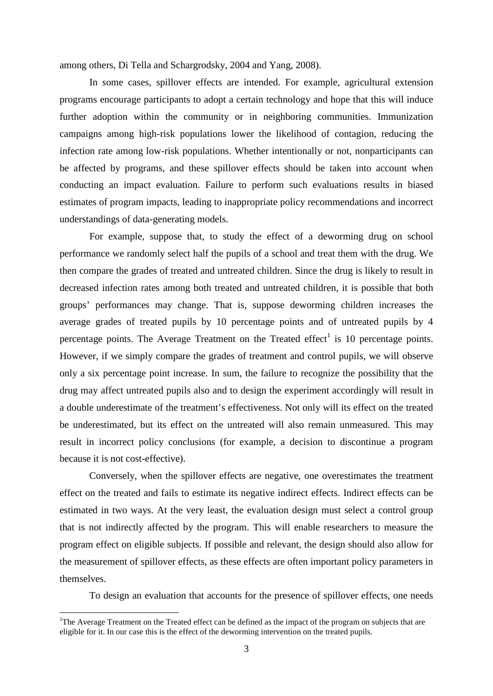among others, Di Tella and Schargrodsky, 2004 and Yang, 2008).

In some cases, spillover effects are intended. For example, agricultural extension programs encourage participants to adopt a certain technology and hope that this will induce further adoption within the community or in neighboring communities. Immunization campaigns among high-risk populations lower the likelihood of contagion, reducing the infection rate among low-risk populations. Whether intentionally or not, nonparticipants can be affected by programs, and these spillover effects should be taken into account when conducting an impact evaluation. Failure to perform such evaluations results in biased estimates of program impacts, leading to inappropriate policy recommendations and incorrect understandings of data-generating models.

For example, suppose that, to study the effect of a deworming drug on school performance we randomly select half the pupils of a school and treat them with the drug. We then compare the grades of treated and untreated children. Since the drug is likely to result in decreased infection rates among both treated and untreated children, it is possible that both groups' performances may change. That is, suppose deworming children increases the average grades of treated pupils by 10 percentage points and of untreated pupils by 4 percentage points. The Average Treatment on the Treated effect<sup>1</sup> is 10 percentage points. However, if we simply compare the grades of treatment and control pupils, we will observe only a six percentage point increase. In sum, the failure to recognize the possibility that the drug may affect untreated pupils also and to design the experiment accordingly will result in a double underestimate of the treatment's effectiveness. Not only will its effect on the treated be underestimated, but its effect on the untreated will also remain unmeasured. This may result in incorrect policy conclusions (for example, a decision to discontinue a program because it is not cost-effective).

Conversely, when the spillover effects are negative, one overestimates the treatment effect on the treated and fails to estimate its negative indirect effects. Indirect effects can be estimated in two ways. At the very least, the evaluation design must select a control group that is not indirectly affected by the program. This will enable researchers to measure the program effect on eligible subjects. If possible and relevant, the design should also allow for the measurement of spillover effects, as these effects are often important policy parameters in themselves.

To design an evaluation that accounts for the presence of spillover effects, one needs

 $\frac{1}{1}$ <sup>1</sup>The Average Treatment on the Treated effect can be defined as the impact of the program on subjects that are eligible for it. In our case this is the effect of the deworming intervention on the treated pupils.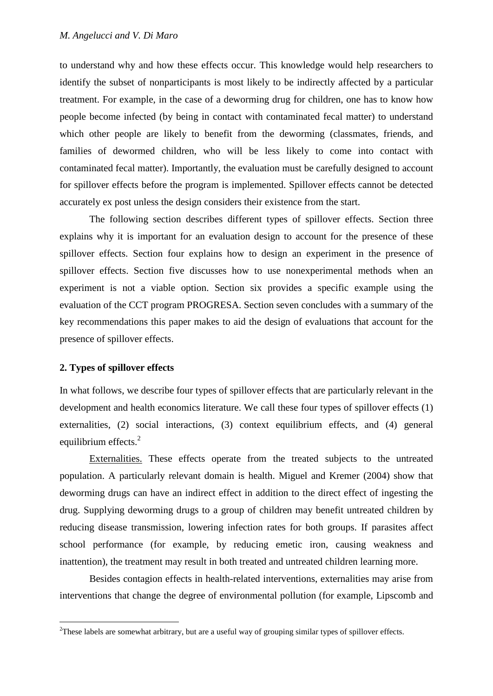to understand why and how these effects occur. This knowledge would help researchers to identify the subset of nonparticipants is most likely to be indirectly affected by a particular treatment. For example, in the case of a deworming drug for children, one has to know how people become infected (by being in contact with contaminated fecal matter) to understand which other people are likely to benefit from the deworming (classmates, friends, and families of dewormed children, who will be less likely to come into contact with contaminated fecal matter). Importantly, the evaluation must be carefully designed to account for spillover effects before the program is implemented. Spillover effects cannot be detected accurately ex post unless the design considers their existence from the start.

The following section describes different types of spillover effects. Section three explains why it is important for an evaluation design to account for the presence of these spillover effects. Section four explains how to design an experiment in the presence of spillover effects. Section five discusses how to use nonexperimental methods when an experiment is not a viable option. Section six provides a specific example using the evaluation of the CCT program PROGRESA. Section seven concludes with a summary of the key recommendations this paper makes to aid the design of evaluations that account for the presence of spillover effects.

#### **2. Types of spillover effects**

In what follows, we describe four types of spillover effects that are particularly relevant in the development and health economics literature. We call these four types of spillover effects (1) externalities, (2) social interactions, (3) context equilibrium effects, and (4) general equilibrium effects.<sup>2</sup>

Externalities. These effects operate from the treated subjects to the untreated population. A particularly relevant domain is health. Miguel and Kremer (2004) show that deworming drugs can have an indirect effect in addition to the direct effect of ingesting the drug. Supplying deworming drugs to a group of children may benefit untreated children by reducing disease transmission, lowering infection rates for both groups. If parasites affect school performance (for example, by reducing emetic iron, causing weakness and inattention), the treatment may result in both treated and untreated children learning more.

Besides contagion effects in health-related interventions, externalities may arise from interventions that change the degree of environmental pollution (for example, Lipscomb and

 $\frac{1}{2}$ <sup>2</sup>These labels are somewhat arbitrary, but are a useful way of grouping similar types of spillover effects.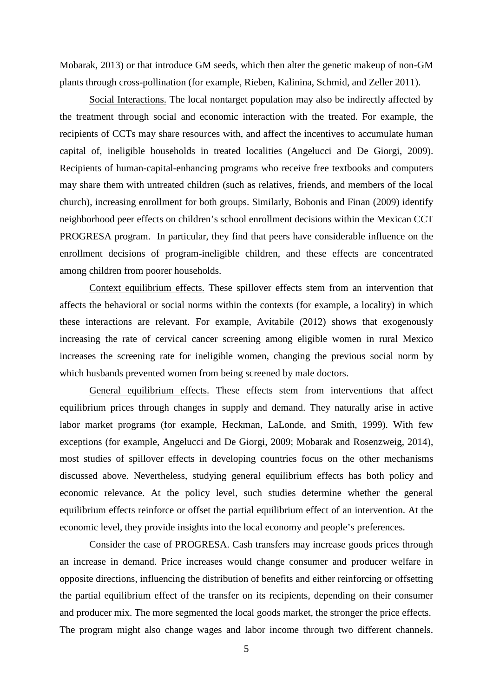Mobarak, 2013) or that introduce GM seeds, which then alter the genetic makeup of non-GM plants through cross-pollination (for example, Rieben, Kalinina, Schmid, and Zeller 2011).

Social Interactions. The local nontarget population may also be indirectly affected by the treatment through social and economic interaction with the treated. For example, the recipients of CCTs may share resources with, and affect the incentives to accumulate human capital of, ineligible households in treated localities (Angelucci and De Giorgi, 2009). Recipients of human-capital-enhancing programs who receive free textbooks and computers may share them with untreated children (such as relatives, friends, and members of the local church), increasing enrollment for both groups. Similarly, Bobonis and Finan (2009) identify neighborhood peer effects on children's school enrollment decisions within the Mexican CCT PROGRESA program. In particular, they find that peers have considerable influence on the enrollment decisions of program-ineligible children, and these effects are concentrated among children from poorer households.

Context equilibrium effects. These spillover effects stem from an intervention that affects the behavioral or social norms within the contexts (for example, a locality) in which these interactions are relevant. For example, Avitabile (2012) shows that exogenously increasing the rate of cervical cancer screening among eligible women in rural Mexico increases the screening rate for ineligible women, changing the previous social norm by which husbands prevented women from being screened by male doctors.

General equilibrium effects. These effects stem from interventions that affect equilibrium prices through changes in supply and demand. They naturally arise in active labor market programs (for example, Heckman, LaLonde, and Smith, 1999). With few exceptions (for example, Angelucci and De Giorgi, 2009; Mobarak and Rosenzweig, 2014), most studies of spillover effects in developing countries focus on the other mechanisms discussed above. Nevertheless, studying general equilibrium effects has both policy and economic relevance. At the policy level, such studies determine whether the general equilibrium effects reinforce or offset the partial equilibrium effect of an intervention. At the economic level, they provide insights into the local economy and people's preferences.

Consider the case of PROGRESA. Cash transfers may increase goods prices through an increase in demand. Price increases would change consumer and producer welfare in opposite directions, influencing the distribution of benefits and either reinforcing or offsetting the partial equilibrium effect of the transfer on its recipients, depending on their consumer and producer mix. The more segmented the local goods market, the stronger the price effects. The program might also change wages and labor income through two different channels.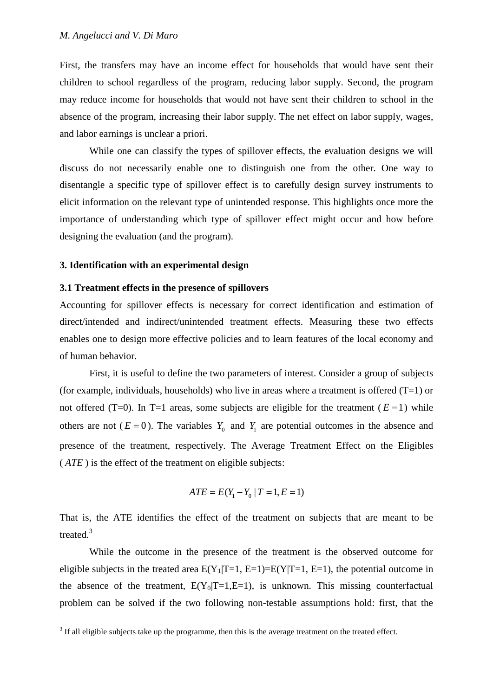First, the transfers may have an income effect for households that would have sent their children to school regardless of the program, reducing labor supply. Second, the program may reduce income for households that would not have sent their children to school in the absence of the program, increasing their labor supply. The net effect on labor supply, wages, and labor earnings is unclear a priori.

While one can classify the types of spillover effects, the evaluation designs we will discuss do not necessarily enable one to distinguish one from the other. One way to disentangle a specific type of spillover effect is to carefully design survey instruments to elicit information on the relevant type of unintended response. This highlights once more the importance of understanding which type of spillover effect might occur and how before designing the evaluation (and the program).

#### **3. Identification with an experimental design**

#### **3.1 Treatment effects in the presence of spillovers**

Accounting for spillover effects is necessary for correct identification and estimation of direct/intended and indirect/unintended treatment effects. Measuring these two effects enables one to design more effective policies and to learn features of the local economy and of human behavior.

First, it is useful to define the two parameters of interest. Consider a group of subjects (for example, individuals, households) who live in areas where a treatment is offered  $(T=1)$  or not offered (T=0). In T=1 areas, some subjects are eligible for the treatment ( $E = 1$ ) while others are not ( $E = 0$ ). The variables  $Y_0$  and  $Y_1$  are potential outcomes in the absence and presence of the treatment, respectively. The Average Treatment Effect on the Eligibles ( *ATE* ) is the effect of the treatment on eligible subjects:

$$
ATE = E(Y_1 - Y_0 | T = 1, E = 1)
$$

That is, the ATE identifies the effect of the treatment on subjects that are meant to be treated.<sup>3</sup>

While the outcome in the presence of the treatment is the observed outcome for eligible subjects in the treated area  $E(Y_1|T=1, E=1)=E(Y|T=1, E=1)$ , the potential outcome in the absence of the treatment,  $E(Y_0|T=1,E=1)$ , is unknown. This missing counterfactual problem can be solved if the two following non-testable assumptions hold: first, that the

<sup>&</sup>lt;sup>3</sup> If all eligible subjects take up the programme, then this is the average treatment on the treated effect.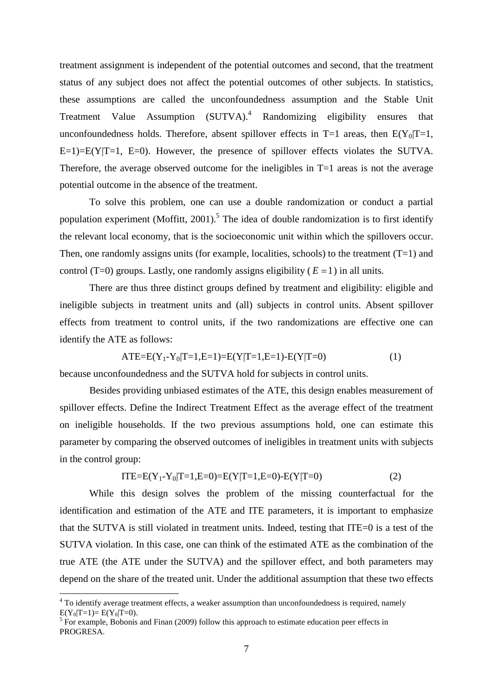treatment assignment is independent of the potential outcomes and second, that the treatment status of any subject does not affect the potential outcomes of other subjects. In statistics, these assumptions are called the unconfoundedness assumption and the Stable Unit Treatment Value Assumption (SUTVA).<sup>4</sup> Randomizing eligibility ensures that unconfoundedness holds. Therefore, absent spillover effects in  $T=1$  areas, then  $E(Y_0|T=1,$  $E=1$ = $E(Y|T=1, E=0)$ . However, the presence of spillover effects violates the SUTVA. Therefore, the average observed outcome for the ineligibles in T=1 areas is not the average potential outcome in the absence of the treatment.

To solve this problem, one can use a double randomization or conduct a partial population experiment (Moffitt, 2001).<sup>5</sup> The idea of double randomization is to first identify the relevant local economy, that is the socioeconomic unit within which the spillovers occur. Then, one randomly assigns units (for example, localities, schools) to the treatment  $(T=1)$  and control (T=0) groups. Lastly, one randomly assigns eligibility ( $E = 1$ ) in all units.

There are thus three distinct groups defined by treatment and eligibility: eligible and ineligible subjects in treatment units and (all) subjects in control units. Absent spillover effects from treatment to control units, if the two randomizations are effective one can identify the ATE as follows:

$$
ATE=E(Y_1-Y_0|T=1,E=1)=E(Y|T=1,E=1)-E(Y|T=0)
$$
\n(1)

because unconfoundedness and the SUTVA hold for subjects in control units.

Besides providing unbiased estimates of the ATE, this design enables measurement of spillover effects. Define the Indirect Treatment Effect as the average effect of the treatment on ineligible households. If the two previous assumptions hold, one can estimate this parameter by comparing the observed outcomes of ineligibles in treatment units with subjects in the control group:

$$
ITE=E(Y_1-Y_0|T=1,E=0)=E(Y|T=1,E=0)-E(Y|T=0)
$$
\n(2)

While this design solves the problem of the missing counterfactual for the identification and estimation of the ATE and ITE parameters, it is important to emphasize that the SUTVA is still violated in treatment units. Indeed, testing that ITE=0 is a test of the SUTVA violation. In this case, one can think of the estimated ATE as the combination of the true ATE (the ATE under the SUTVA) and the spillover effect, and both parameters may depend on the share of the treated unit. Under the additional assumption that these two effects

<sup>&</sup>lt;sup>4</sup> To identify average treatment effects, a weaker assumption than unconfoundedness is required, namely  $E(Y_0|T=1) = E(Y_0|T=0)$ .<br><sup>5</sup> For example, Bobonis and Finan (2009) follow this approach to estimate education peer effects in

PROGRESA.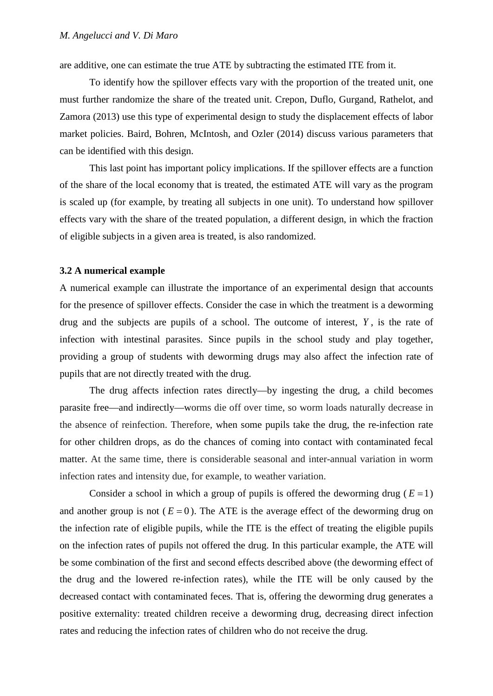are additive, one can estimate the true ATE by subtracting the estimated ITE from it.

To identify how the spillover effects vary with the proportion of the treated unit, one must further randomize the share of the treated unit. Crepon, Duflo, Gurgand, Rathelot, and Zamora (2013) use this type of experimental design to study the displacement effects of labor market policies. Baird, Bohren, McIntosh, and Ozler (2014) discuss various parameters that can be identified with this design.

This last point has important policy implications. If the spillover effects are a function of the share of the local economy that is treated, the estimated ATE will vary as the program is scaled up (for example, by treating all subjects in one unit). To understand how spillover effects vary with the share of the treated population, a different design, in which the fraction of eligible subjects in a given area is treated, is also randomized.

#### **3.2 A numerical example**

A numerical example can illustrate the importance of an experimental design that accounts for the presence of spillover effects. Consider the case in which the treatment is a deworming drug and the subjects are pupils of a school. The outcome of interest, *Y* , is the rate of infection with intestinal parasites. Since pupils in the school study and play together, providing a group of students with deworming drugs may also affect the infection rate of pupils that are not directly treated with the drug.

The drug affects infection rates directly—by ingesting the drug, a child becomes parasite free—and indirectly—worms die off over time, so worm loads naturally decrease in the absence of reinfection. Therefore, when some pupils take the drug, the re-infection rate for other children drops, as do the chances of coming into contact with contaminated fecal matter. At the same time, there is considerable seasonal and inter-annual variation in worm infection rates and intensity due, for example, to weather variation.

Consider a school in which a group of pupils is offered the deworming drug ( $E = 1$ ) and another group is not  $(E = 0)$ . The ATE is the average effect of the deworming drug on the infection rate of eligible pupils, while the ITE is the effect of treating the eligible pupils on the infection rates of pupils not offered the drug. In this particular example, the ATE will be some combination of the first and second effects described above (the deworming effect of the drug and the lowered re-infection rates), while the ITE will be only caused by the decreased contact with contaminated feces. That is, offering the deworming drug generates a positive externality: treated children receive a deworming drug, decreasing direct infection rates and reducing the infection rates of children who do not receive the drug.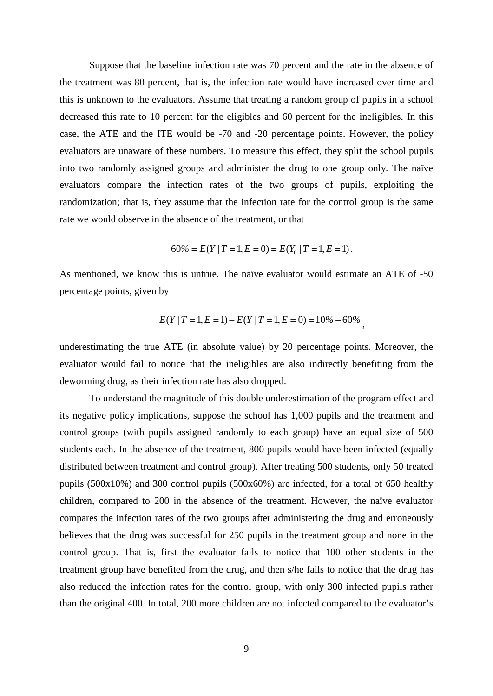Suppose that the baseline infection rate was 70 percent and the rate in the absence of the treatment was 80 percent, that is, the infection rate would have increased over time and this is unknown to the evaluators. Assume that treating a random group of pupils in a school decreased this rate to 10 percent for the eligibles and 60 percent for the ineligibles. In this case, the ATE and the ITE would be -70 and -20 percentage points. However, the policy evaluators are unaware of these numbers. To measure this effect, they split the school pupils into two randomly assigned groups and administer the drug to one group only. The naïve evaluators compare the infection rates of the two groups of pupils, exploiting the randomization; that is, they assume that the infection rate for the control group is the same rate we would observe in the absence of the treatment, or that

$$
60\% = E(Y | T = 1, E = 0) = E(Y_0 | T = 1, E = 1).
$$

As mentioned, we know this is untrue. The naïve evaluator would estimate an ATE of -50 percentage points, given by

$$
E(Y | T = 1, E = 1) - E(Y | T = 1, E = 0) = 10\% - 60\%,
$$

underestimating the true ATE (in absolute value) by 20 percentage points. Moreover, the evaluator would fail to notice that the ineligibles are also indirectly benefiting from the deworming drug, as their infection rate has also dropped.

To understand the magnitude of this double underestimation of the program effect and its negative policy implications, suppose the school has 1,000 pupils and the treatment and control groups (with pupils assigned randomly to each group) have an equal size of 500 students each. In the absence of the treatment, 800 pupils would have been infected (equally distributed between treatment and control group). After treating 500 students, only 50 treated pupils (500x10%) and 300 control pupils (500x60%) are infected, for a total of 650 healthy children, compared to 200 in the absence of the treatment. However, the naïve evaluator compares the infection rates of the two groups after administering the drug and erroneously believes that the drug was successful for 250 pupils in the treatment group and none in the control group. That is, first the evaluator fails to notice that 100 other students in the treatment group have benefited from the drug, and then s/he fails to notice that the drug has also reduced the infection rates for the control group, with only 300 infected pupils rather than the original 400. In total, 200 more children are not infected compared to the evaluator's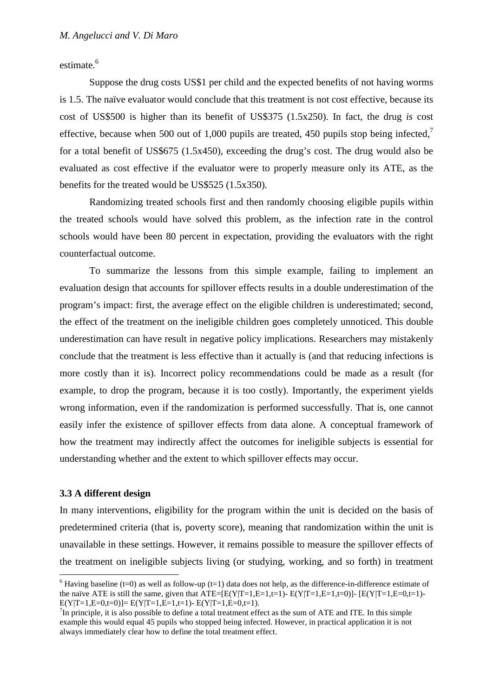estimate.<sup>6</sup>

Suppose the drug costs US\$1 per child and the expected benefits of not having worms is 1.5. The naïve evaluator would conclude that this treatment is not cost effective, because its cost of US\$500 is higher than its benefit of US\$375 (1.5x250). In fact, the drug *is* cost effective, because when 500 out of 1,000 pupils are treated, 450 pupils stop being infected,<sup>7</sup> for a total benefit of US\$675 (1.5x450), exceeding the drug's cost. The drug would also be evaluated as cost effective if the evaluator were to properly measure only its ATE, as the benefits for the treated would be US\$525 (1.5x350).

Randomizing treated schools first and then randomly choosing eligible pupils within the treated schools would have solved this problem, as the infection rate in the control schools would have been 80 percent in expectation, providing the evaluators with the right counterfactual outcome.

To summarize the lessons from this simple example, failing to implement an evaluation design that accounts for spillover effects results in a double underestimation of the program's impact: first, the average effect on the eligible children is underestimated; second, the effect of the treatment on the ineligible children goes completely unnoticed. This double underestimation can have result in negative policy implications. Researchers may mistakenly conclude that the treatment is less effective than it actually is (and that reducing infections is more costly than it is). Incorrect policy recommendations could be made as a result (for example, to drop the program, because it is too costly). Importantly, the experiment yields wrong information, even if the randomization is performed successfully. That is, one cannot easily infer the existence of spillover effects from data alone. A conceptual framework of how the treatment may indirectly affect the outcomes for ineligible subjects is essential for understanding whether and the extent to which spillover effects may occur.

### **3.3 A different design**

In many interventions, eligibility for the program within the unit is decided on the basis of predetermined criteria (that is, poverty score), meaning that randomization within the unit is unavailable in these settings. However, it remains possible to measure the spillover effects of the treatment on ineligible subjects living (or studying, working, and so forth) in treatment

 $6$  Having baseline (t=0) as well as follow-up (t=1) data does not help, as the difference-in-difference estimate of the naïve ATE is still the same, given that  $ATE=[E(Y|T=1,E=1,t=1)-E(Y|T=1,E=1,t=0)]$ -  $[E(Y|T=1,E=0,t=1)-E(Y|T=1,E=0,t=1)-E(Y|T=1,E=0,t=1)-E(Y|T=1,E=0,t=1)-E(Y|T=1,E=0,t=1)-E(Y|T=1,E=0,t=1)-E(Y|T=1,E=0,t=1)-E(Y|T=1,E=0,t=1)-E(Y|T=1,E=0,t=1)-E(Y|T=1,E=0,t=1)-E(Y|T=1,E=0,t=1)-E$  $E(Y|T=1,E=0,t=0)$ ]=  $E(Y|T=1,E=1,t=1)$ -  $E(Y|T=1,E=0,t=1)$ .

 ${}^{7}$ In principle, it is also possible to define a total treatment effect as the sum of ATE and ITE. In this simple example this would equal 45 pupils who stopped being infected. However, in practical application it is not always immediately clear how to define the total treatment effect.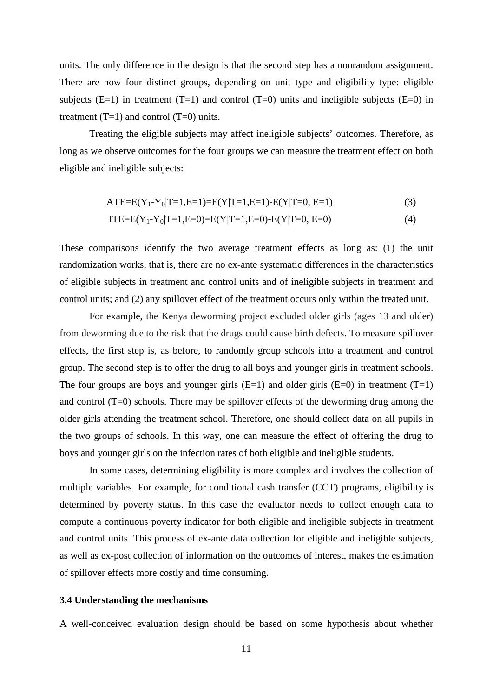units. The only difference in the design is that the second step has a nonrandom assignment. There are now four distinct groups, depending on unit type and eligibility type: eligible subjects  $(E=1)$  in treatment  $(T=1)$  and control  $(T=0)$  units and ineligible subjects  $(E=0)$  in treatment  $(T=1)$  and control  $(T=0)$  units.

Treating the eligible subjects may affect ineligible subjects' outcomes. Therefore, as long as we observe outcomes for the four groups we can measure the treatment effect on both eligible and ineligible subjects:

$$
ATE=E(Y_1-Y_0|T=1,E=1)=E(Y|T=1,E=1)-E(Y|T=0,E=1)
$$
\n(3)

$$
ITE=E(Y_1-Y_0|T=1,E=0)=E(Y|T=1,E=0)-E(Y|T=0,E=0)
$$
\n
$$
(4)
$$

These comparisons identify the two average treatment effects as long as: (1) the unit randomization works, that is, there are no ex-ante systematic differences in the characteristics of eligible subjects in treatment and control units and of ineligible subjects in treatment and control units; and (2) any spillover effect of the treatment occurs only within the treated unit.

For example, the Kenya deworming project excluded older girls (ages 13 and older) from deworming due to the risk that the drugs could cause birth defects. To measure spillover effects, the first step is, as before, to randomly group schools into a treatment and control group. The second step is to offer the drug to all boys and younger girls in treatment schools. The four groups are boys and younger girls  $(E=1)$  and older girls  $(E=0)$  in treatment  $(T=1)$ and control (T=0) schools. There may be spillover effects of the deworming drug among the older girls attending the treatment school. Therefore, one should collect data on all pupils in the two groups of schools. In this way, one can measure the effect of offering the drug to boys and younger girls on the infection rates of both eligible and ineligible students.

In some cases, determining eligibility is more complex and involves the collection of multiple variables. For example, for conditional cash transfer (CCT) programs, eligibility is determined by poverty status. In this case the evaluator needs to collect enough data to compute a continuous poverty indicator for both eligible and ineligible subjects in treatment and control units. This process of ex-ante data collection for eligible and ineligible subjects, as well as ex-post collection of information on the outcomes of interest, makes the estimation of spillover effects more costly and time consuming.

#### **3.4 Understanding the mechanisms**

A well-conceived evaluation design should be based on some hypothesis about whether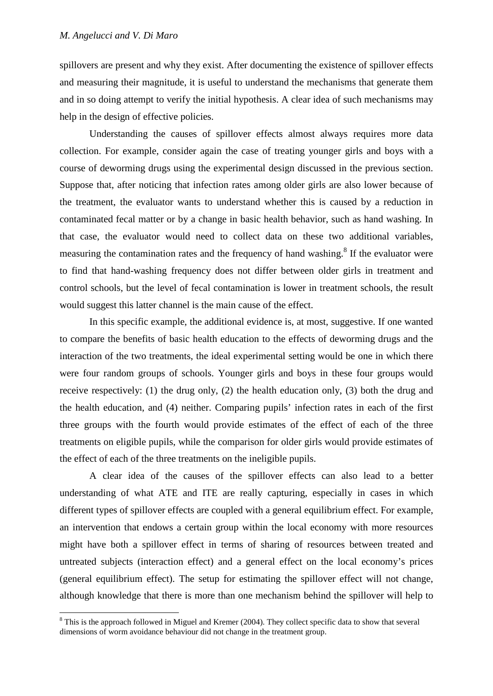spillovers are present and why they exist. After documenting the existence of spillover effects and measuring their magnitude, it is useful to understand the mechanisms that generate them and in so doing attempt to verify the initial hypothesis. A clear idea of such mechanisms may help in the design of effective policies.

Understanding the causes of spillover effects almost always requires more data collection. For example, consider again the case of treating younger girls and boys with a course of deworming drugs using the experimental design discussed in the previous section. Suppose that, after noticing that infection rates among older girls are also lower because of the treatment, the evaluator wants to understand whether this is caused by a reduction in contaminated fecal matter or by a change in basic health behavior, such as hand washing. In that case, the evaluator would need to collect data on these two additional variables, measuring the contamination rates and the frequency of hand washing.<sup>8</sup> If the evaluator were to find that hand-washing frequency does not differ between older girls in treatment and control schools, but the level of fecal contamination is lower in treatment schools, the result would suggest this latter channel is the main cause of the effect.

In this specific example, the additional evidence is, at most, suggestive. If one wanted to compare the benefits of basic health education to the effects of deworming drugs and the interaction of the two treatments, the ideal experimental setting would be one in which there were four random groups of schools. Younger girls and boys in these four groups would receive respectively: (1) the drug only, (2) the health education only, (3) both the drug and the health education, and (4) neither. Comparing pupils' infection rates in each of the first three groups with the fourth would provide estimates of the effect of each of the three treatments on eligible pupils, while the comparison for older girls would provide estimates of the effect of each of the three treatments on the ineligible pupils.

A clear idea of the causes of the spillover effects can also lead to a better understanding of what ATE and ITE are really capturing, especially in cases in which different types of spillover effects are coupled with a general equilibrium effect. For example, an intervention that endows a certain group within the local economy with more resources might have both a spillover effect in terms of sharing of resources between treated and untreated subjects (interaction effect) and a general effect on the local economy's prices (general equilibrium effect). The setup for estimating the spillover effect will not change, although knowledge that there is more than one mechanism behind the spillover will help to

<sup>&</sup>lt;sup>8</sup> This is the approach followed in Miguel and Kremer (2004). They collect specific data to show that several dimensions of worm avoidance behaviour did not change in the treatment group.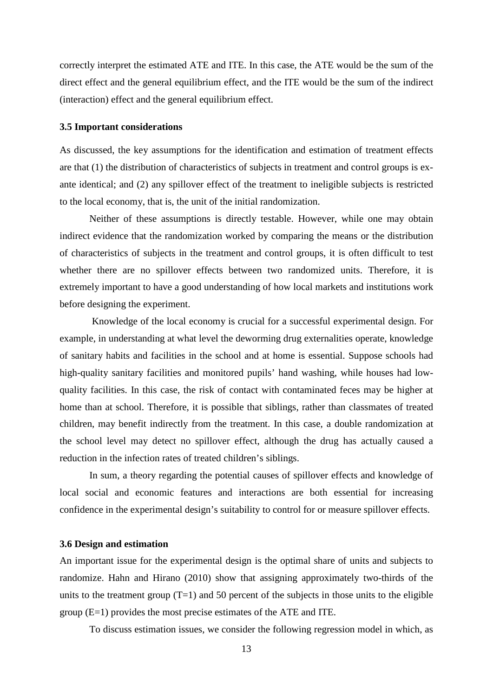correctly interpret the estimated ATE and ITE. In this case, the ATE would be the sum of the direct effect and the general equilibrium effect, and the ITE would be the sum of the indirect (interaction) effect and the general equilibrium effect.

#### **3.5 Important considerations**

As discussed, the key assumptions for the identification and estimation of treatment effects are that (1) the distribution of characteristics of subjects in treatment and control groups is exante identical; and (2) any spillover effect of the treatment to ineligible subjects is restricted to the local economy, that is, the unit of the initial randomization.

Neither of these assumptions is directly testable. However, while one may obtain indirect evidence that the randomization worked by comparing the means or the distribution of characteristics of subjects in the treatment and control groups, it is often difficult to test whether there are no spillover effects between two randomized units. Therefore, it is extremely important to have a good understanding of how local markets and institutions work before designing the experiment.

Knowledge of the local economy is crucial for a successful experimental design. For example, in understanding at what level the deworming drug externalities operate, knowledge of sanitary habits and facilities in the school and at home is essential. Suppose schools had high-quality sanitary facilities and monitored pupils' hand washing, while houses had lowquality facilities. In this case, the risk of contact with contaminated feces may be higher at home than at school. Therefore, it is possible that siblings, rather than classmates of treated children, may benefit indirectly from the treatment. In this case, a double randomization at the school level may detect no spillover effect, although the drug has actually caused a reduction in the infection rates of treated children's siblings.

In sum, a theory regarding the potential causes of spillover effects and knowledge of local social and economic features and interactions are both essential for increasing confidence in the experimental design's suitability to control for or measure spillover effects.

#### **3.6 Design and estimation**

An important issue for the experimental design is the optimal share of units and subjects to randomize. Hahn and Hirano (2010) show that assigning approximately two-thirds of the units to the treatment group  $(T=1)$  and 50 percent of the subjects in those units to the eligible group (E=1) provides the most precise estimates of the ATE and ITE.

To discuss estimation issues, we consider the following regression model in which, as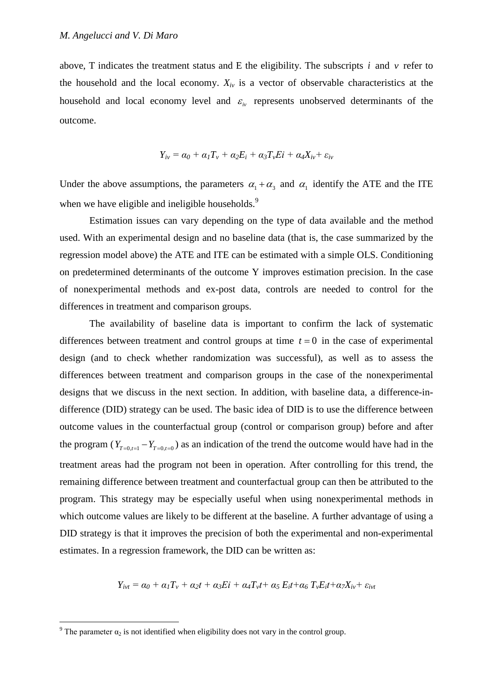above, T indicates the treatment status and E the eligibility. The subscripts  $i$  and  $v$  refer to the household and the local economy. *Xiv* is a vector of observable characteristics at the household and local economy level and  $\varepsilon_{iv}$  represents unobserved determinants of the outcome.

$$
Y_{iv} = \alpha_0 + \alpha_1 T_v + \alpha_2 E_i + \alpha_3 T_v E_i + \alpha_4 X_{iv} + \varepsilon_{iv}
$$

Under the above assumptions, the parameters  $\alpha_1 + \alpha_3$  and  $\alpha_1$  identify the ATE and the ITE when we have eligible and ineligible households.<sup>9</sup>

Estimation issues can vary depending on the type of data available and the method used. With an experimental design and no baseline data (that is, the case summarized by the regression model above) the ATE and ITE can be estimated with a simple OLS. Conditioning on predetermined determinants of the outcome Y improves estimation precision. In the case of nonexperimental methods and ex-post data, controls are needed to control for the differences in treatment and comparison groups.

The availability of baseline data is important to confirm the lack of systematic differences between treatment and control groups at time  $t = 0$  in the case of experimental design (and to check whether randomization was successful), as well as to assess the differences between treatment and comparison groups in the case of the nonexperimental designs that we discuss in the next section. In addition, with baseline data, a difference-indifference (DID) strategy can be used. The basic idea of DID is to use the difference between outcome values in the counterfactual group (control or comparison group) before and after the program ( $Y_{T=0,t=1} - Y_{T=0,t=0}$ ) as an indication of the trend the outcome would have had in the treatment areas had the program not been in operation. After controlling for this trend, the remaining difference between treatment and counterfactual group can then be attributed to the program. This strategy may be especially useful when using nonexperimental methods in which outcome values are likely to be different at the baseline. A further advantage of using a DID strategy is that it improves the precision of both the experimental and non-experimental estimates. In a regression framework, the DID can be written as:

$$
Y_{ivt} = \alpha_0 + \alpha_1 T_v + \alpha_2 t + \alpha_3 E i + \alpha_4 T_v t + \alpha_5 E_i t + \alpha_6 T_v E_i t + \alpha_7 X_{iv} + \varepsilon_{ivt}
$$

<sup>&</sup>lt;sup>9</sup> The parameter  $\alpha_2$  is not identified when eligibility does not vary in the control group.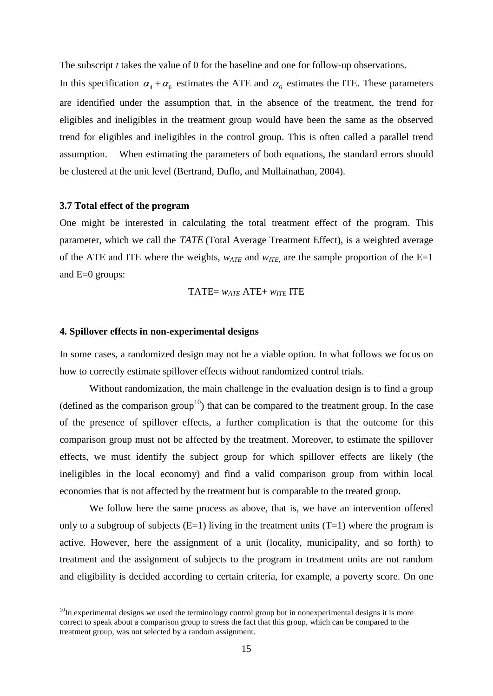The subscript *t* takes the value of 0 for the baseline and one for follow-up observations.

In this specification  $\alpha_4 + \alpha_6$  estimates the ATE and  $\alpha_6$  estimates the ITE. These parameters are identified under the assumption that, in the absence of the treatment, the trend for eligibles and ineligibles in the treatment group would have been the same as the observed trend for eligibles and ineligibles in the control group. This is often called a parallel trend assumption. When estimating the parameters of both equations, the standard errors should be clustered at the unit level (Bertrand, Duflo, and Mullainathan, 2004).

#### **3.7 Total effect of the program**

One might be interested in calculating the total treatment effect of the program. This parameter, which we call the *TATE* (Total Average Treatment Effect), is a weighted average of the ATE and ITE where the weights,  $w_{ATE}$  and  $w_{ITE}$  are the sample proportion of the E=1 and E=0 groups:

TATE = 
$$
w_{ATE}
$$
ATE +  $w_{ITE}$  ITE

#### **4. Spillover effects in non-experimental designs**

In some cases, a randomized design may not be a viable option. In what follows we focus on how to correctly estimate spillover effects without randomized control trials.

Without randomization, the main challenge in the evaluation design is to find a group (defined as the comparison group<sup>10</sup>) that can be compared to the treatment group. In the case of the presence of spillover effects, a further complication is that the outcome for this comparison group must not be affected by the treatment. Moreover, to estimate the spillover effects, we must identify the subject group for which spillover effects are likely (the ineligibles in the local economy) and find a valid comparison group from within local economies that is not affected by the treatment but is comparable to the treated group.

We follow here the same process as above, that is, we have an intervention offered only to a subgroup of subjects  $(E=1)$  living in the treatment units  $(T=1)$  where the program is active. However, here the assignment of a unit (locality, municipality, and so forth) to treatment and the assignment of subjects to the program in treatment units are not random and eligibility is decided according to certain criteria, for example, a poverty score. On one

 $10$ In experimental designs we used the terminology control group but in nonexperimental designs it is more correct to speak about a comparison group to stress the fact that this group, which can be compared to the treatment group, was not selected by a random assignment.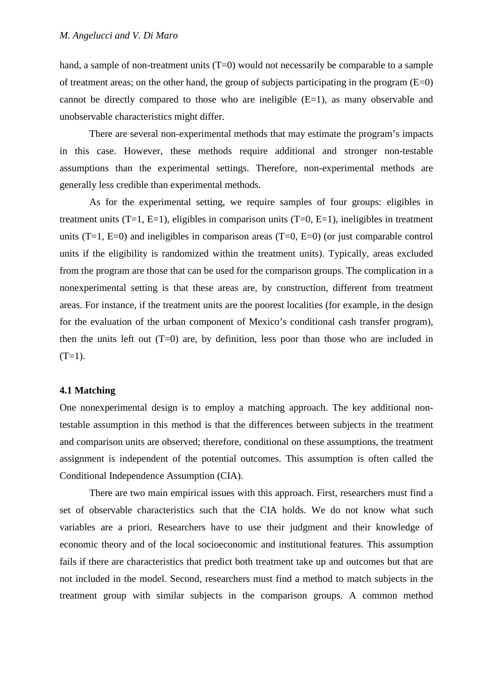hand, a sample of non-treatment units  $(T=0)$  would not necessarily be comparable to a sample of treatment areas; on the other hand, the group of subjects participating in the program  $(E=0)$ cannot be directly compared to those who are ineligible (E=1), as many observable and unobservable characteristics might differ.

There are several non-experimental methods that may estimate the program's impacts in this case. However, these methods require additional and stronger non-testable assumptions than the experimental settings. Therefore, non-experimental methods are generally less credible than experimental methods.

As for the experimental setting, we require samples of four groups: eligibles in treatment units  $(T=1, E=1)$ , eligibles in comparison units  $(T=0, E=1)$ , ineligibles in treatment units  $(T=1, E=0)$  and ineligibles in comparison areas  $(T=0, E=0)$  (or just comparable control units if the eligibility is randomized within the treatment units). Typically, areas excluded from the program are those that can be used for the comparison groups. The complication in a nonexperimental setting is that these areas are, by construction, different from treatment areas. For instance, if the treatment units are the poorest localities (for example, in the design for the evaluation of the urban component of Mexico's conditional cash transfer program), then the units left out  $(T=0)$  are, by definition, less poor than those who are included in  $(T=1)$ .

#### **4.1 Matching**

One nonexperimental design is to employ a matching approach. The key additional nontestable assumption in this method is that the differences between subjects in the treatment and comparison units are observed; therefore, conditional on these assumptions, the treatment assignment is independent of the potential outcomes. This assumption is often called the Conditional Independence Assumption (CIA).

There are two main empirical issues with this approach. First, researchers must find a set of observable characteristics such that the CIA holds. We do not know what such variables are a priori. Researchers have to use their judgment and their knowledge of economic theory and of the local socioeconomic and institutional features. This assumption fails if there are characteristics that predict both treatment take up and outcomes but that are not included in the model. Second, researchers must find a method to match subjects in the treatment group with similar subjects in the comparison groups. A common method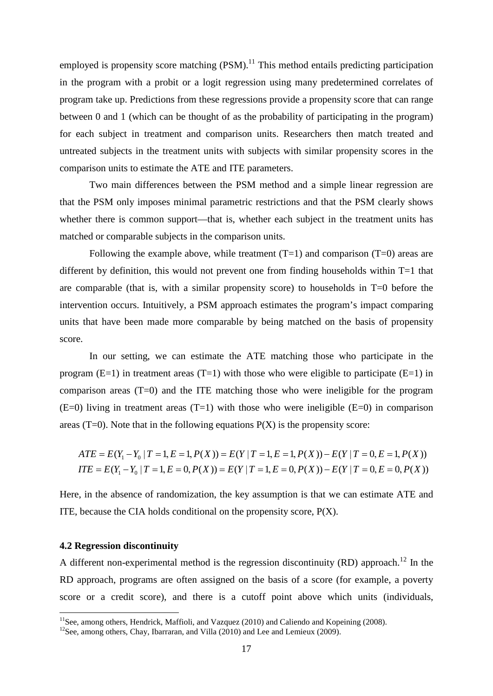employed is propensity score matching  $(PSM)$ .<sup>11</sup> This method entails predicting participation in the program with a probit or a logit regression using many predetermined correlates of program take up. Predictions from these regressions provide a propensity score that can range between 0 and 1 (which can be thought of as the probability of participating in the program) for each subject in treatment and comparison units. Researchers then match treated and untreated subjects in the treatment units with subjects with similar propensity scores in the comparison units to estimate the ATE and ITE parameters.

Two main differences between the PSM method and a simple linear regression are that the PSM only imposes minimal parametric restrictions and that the PSM clearly shows whether there is common support—that is, whether each subject in the treatment units has matched or comparable subjects in the comparison units.

Following the example above, while treatment  $(T=1)$  and comparison  $(T=0)$  areas are different by definition, this would not prevent one from finding households within  $T=1$  that are comparable (that is, with a similar propensity score) to households in T=0 before the intervention occurs. Intuitively, a PSM approach estimates the program's impact comparing units that have been made more comparable by being matched on the basis of propensity score.

In our setting, we can estimate the ATE matching those who participate in the program  $(E=1)$  in treatment areas  $(T=1)$  with those who were eligible to participate  $(E=1)$  in comparison areas (T=0) and the ITE matching those who were ineligible for the program  $(E=0)$  living in treatment areas  $(T=1)$  with those who were ineligible  $(E=0)$  in comparison areas (T=0). Note that in the following equations  $P(X)$  is the propensity score:

$$
ATE = E(Y_1 - Y_0 | T = 1, E = 1, P(X)) = E(Y | T = 1, E = 1, P(X)) - E(Y | T = 0, E = 1, P(X))
$$
  
ITE = E(Y\_1 - Y\_0 | T = 1, E = 0, P(X)) = E(Y | T = 1, E = 0, P(X)) - E(Y | T = 0, E = 0, P(X))

Here, in the absence of randomization, the key assumption is that we can estimate ATE and ITE, because the CIA holds conditional on the propensity score,  $P(X)$ .

#### **4.2 Regression discontinuity**

A different non-experimental method is the regression discontinuity  $(RD)$  approach.<sup>12</sup> In the RD approach, programs are often assigned on the basis of a score (for example, a poverty score or a credit score), and there is a cutoff point above which units (individuals,

<sup>&</sup>lt;sup>11</sup>See, among others, Hendrick, Maffioli, and Vazquez (2010) and Caliendo and Kopeining (2008). <sup>12</sup>See, among others, Chay, Ibarraran, and Villa (2010) and Lee and Lemieux (2009).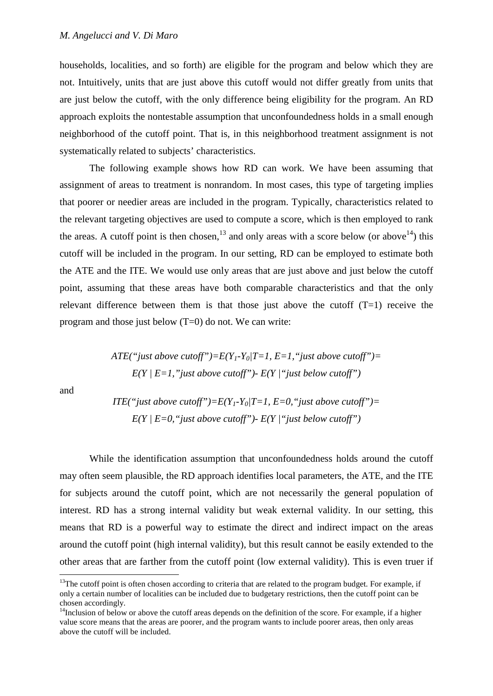households, localities, and so forth) are eligible for the program and below which they are not. Intuitively, units that are just above this cutoff would not differ greatly from units that are just below the cutoff, with the only difference being eligibility for the program. An RD approach exploits the nontestable assumption that unconfoundedness holds in a small enough neighborhood of the cutoff point. That is, in this neighborhood treatment assignment is not systematically related to subjects' characteristics.

The following example shows how RD can work. We have been assuming that assignment of areas to treatment is nonrandom. In most cases, this type of targeting implies that poorer or needier areas are included in the program. Typically, characteristics related to the relevant targeting objectives are used to compute a score, which is then employed to rank the areas. A cutoff point is then chosen,  $^{13}$  and only areas with a score below (or above  $^{14}$ ) this cutoff will be included in the program. In our setting, RD can be employed to estimate both the ATE and the ITE. We would use only areas that are just above and just below the cutoff point, assuming that these areas have both comparable characteristics and that the only relevant difference between them is that those just above the cutoff  $(T=1)$  receive the program and those just below  $(T=0)$  do not. We can write:

> *ATE("just above cutoff")=E(Y<sub>1</sub>-Y<sub>0</sub>|T=1, E=1,"just above cutoff")= E(Y | E=1,"just above cutoff")- E(Y |"just below cutoff")*

and

*ITE*("just above cutoff")= $E(Y_1-Y_0/T=1, E=0, "just above cutoff")=$ *E(Y | E=0,"just above cutoff")- E(Y |"just below cutoff")*

While the identification assumption that unconfoundedness holds around the cutoff may often seem plausible, the RD approach identifies local parameters, the ATE, and the ITE for subjects around the cutoff point, which are not necessarily the general population of interest. RD has a strong internal validity but weak external validity. In our setting, this means that RD is a powerful way to estimate the direct and indirect impact on the areas around the cutoff point (high internal validity), but this result cannot be easily extended to the other areas that are farther from the cutoff point (low external validity). This is even truer if

 $13$ The cutoff point is often chosen according to criteria that are related to the program budget. For example, if only a certain number of localities can be included due to budgetary restrictions, then the cutoff point can be chosen accordingly.

 $14$ Inclusion of below or above the cutoff areas depends on the definition of the score. For example, if a higher value score means that the areas are poorer, and the program wants to include poorer areas, then only areas above the cutoff will be included.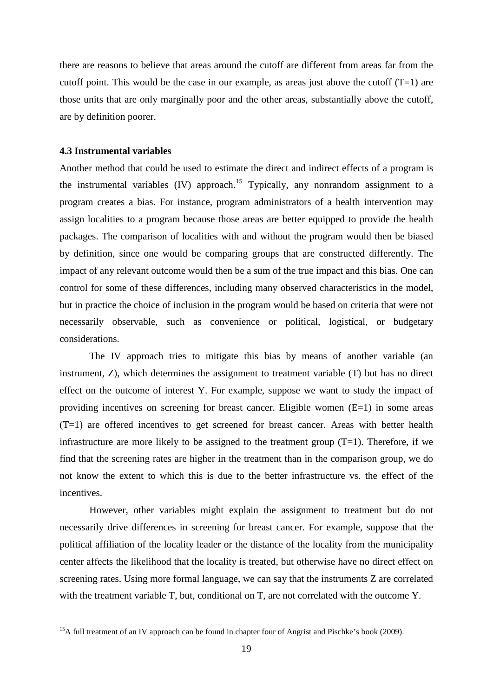there are reasons to believe that areas around the cutoff are different from areas far from the cutoff point. This would be the case in our example, as areas just above the cutoff  $(T=1)$  are those units that are only marginally poor and the other areas, substantially above the cutoff, are by definition poorer.

#### **4.3 Instrumental variables**

Another method that could be used to estimate the direct and indirect effects of a program is the instrumental variables (IV) approach.<sup>15</sup> Typically, any nonrandom assignment to a program creates a bias. For instance, program administrators of a health intervention may assign localities to a program because those areas are better equipped to provide the health packages. The comparison of localities with and without the program would then be biased by definition, since one would be comparing groups that are constructed differently. The impact of any relevant outcome would then be a sum of the true impact and this bias. One can control for some of these differences, including many observed characteristics in the model, but in practice the choice of inclusion in the program would be based on criteria that were not necessarily observable, such as convenience or political, logistical, or budgetary considerations.

The IV approach tries to mitigate this bias by means of another variable (an instrument, Z), which determines the assignment to treatment variable (T) but has no direct effect on the outcome of interest Y. For example, suppose we want to study the impact of providing incentives on screening for breast cancer. Eligible women (E=1) in some areas (T=1) are offered incentives to get screened for breast cancer. Areas with better health infrastructure are more likely to be assigned to the treatment group  $(T=1)$ . Therefore, if we find that the screening rates are higher in the treatment than in the comparison group, we do not know the extent to which this is due to the better infrastructure vs. the effect of the incentives.

However, other variables might explain the assignment to treatment but do not necessarily drive differences in screening for breast cancer. For example, suppose that the political affiliation of the locality leader or the distance of the locality from the municipality center affects the likelihood that the locality is treated, but otherwise have no direct effect on screening rates. Using more formal language, we can say that the instruments Z are correlated with the treatment variable T, but, conditional on T, are not correlated with the outcome Y.

<sup>&</sup>lt;sup>15</sup>A full treatment of an IV approach can be found in chapter four of Angrist and Pischke's book (2009).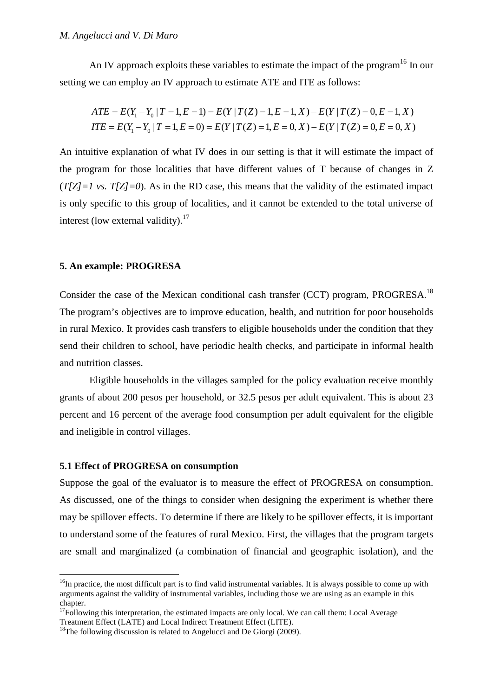An IV approach exploits these variables to estimate the impact of the program<sup>16</sup> In our setting we can employ an IV approach to estimate ATE and ITE as follows:

$$
ATE = E(Y_1 - Y_0 | T = 1, E = 1) = E(Y | T(Z) = 1, E = 1, X) - E(Y | T(Z) = 0, E = 1, X)
$$
  
ITE = E(Y\_1 - Y\_0 | T = 1, E = 0) = E(Y | T(Z) = 1, E = 0, X) - E(Y | T(Z) = 0, E = 0, X)

An intuitive explanation of what IV does in our setting is that it will estimate the impact of the program for those localities that have different values of T because of changes in Z  $(T|Z|=1$  *vs.*  $T|Z|=0$ . As in the RD case, this means that the validity of the estimated impact is only specific to this group of localities, and it cannot be extended to the total universe of interest (low external validity).<sup>17</sup>

#### **5. An example: PROGRESA**

Consider the case of the Mexican conditional cash transfer (CCT) program, PROGRESA.<sup>18</sup> The program's objectives are to improve education, health, and nutrition for poor households in rural Mexico. It provides cash transfers to eligible households under the condition that they send their children to school, have periodic health checks, and participate in informal health and nutrition classes.

Eligible households in the villages sampled for the policy evaluation receive monthly grants of about 200 pesos per household, or 32.5 pesos per adult equivalent. This is about 23 percent and 16 percent of the average food consumption per adult equivalent for the eligible and ineligible in control villages.

#### **5.1 Effect of PROGRESA on consumption**

Suppose the goal of the evaluator is to measure the effect of PROGRESA on consumption. As discussed, one of the things to consider when designing the experiment is whether there may be spillover effects. To determine if there are likely to be spillover effects, it is important to understand some of the features of rural Mexico. First, the villages that the program targets are small and marginalized (a combination of financial and geographic isolation), and the

 $16$ In practice, the most difficult part is to find valid instrumental variables. It is always possible to come up with arguments against the validity of instrumental variables, including those we are using as an example in this chapter.

 $17$ Following this interpretation, the estimated impacts are only local. We can call them: Local Average Treatment Effect (LATE) and Local Indirect Treatment Effect (LITE).<br><sup>18</sup>The following discussion is related to Angelucci and De Giorgi (2009).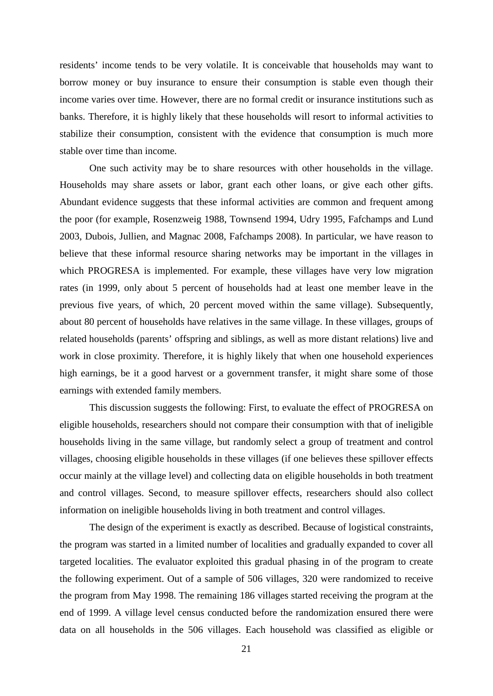residents' income tends to be very volatile. It is conceivable that households may want to borrow money or buy insurance to ensure their consumption is stable even though their income varies over time. However, there are no formal credit or insurance institutions such as banks. Therefore, it is highly likely that these households will resort to informal activities to stabilize their consumption, consistent with the evidence that consumption is much more stable over time than income.

One such activity may be to share resources with other households in the village. Households may share assets or labor, grant each other loans, or give each other gifts. Abundant evidence suggests that these informal activities are common and frequent among the poor (for example, Rosenzweig 1988, Townsend 1994, Udry 1995, Fafchamps and Lund 2003, Dubois, Jullien, and Magnac 2008, Fafchamps 2008). In particular, we have reason to believe that these informal resource sharing networks may be important in the villages in which PROGRESA is implemented. For example, these villages have very low migration rates (in 1999, only about 5 percent of households had at least one member leave in the previous five years, of which, 20 percent moved within the same village). Subsequently, about 80 percent of households have relatives in the same village. In these villages, groups of related households (parents' offspring and siblings, as well as more distant relations) live and work in close proximity. Therefore, it is highly likely that when one household experiences high earnings, be it a good harvest or a government transfer, it might share some of those earnings with extended family members.

This discussion suggests the following: First, to evaluate the effect of PROGRESA on eligible households, researchers should not compare their consumption with that of ineligible households living in the same village, but randomly select a group of treatment and control villages, choosing eligible households in these villages (if one believes these spillover effects occur mainly at the village level) and collecting data on eligible households in both treatment and control villages. Second, to measure spillover effects, researchers should also collect information on ineligible households living in both treatment and control villages.

The design of the experiment is exactly as described. Because of logistical constraints, the program was started in a limited number of localities and gradually expanded to cover all targeted localities. The evaluator exploited this gradual phasing in of the program to create the following experiment. Out of a sample of 506 villages, 320 were randomized to receive the program from May 1998. The remaining 186 villages started receiving the program at the end of 1999. A village level census conducted before the randomization ensured there were data on all households in the 506 villages. Each household was classified as eligible or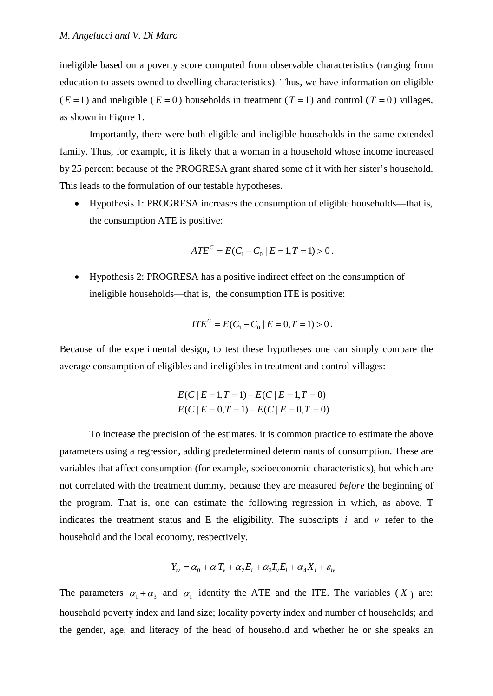ineligible based on a poverty score computed from observable characteristics (ranging from education to assets owned to dwelling characteristics). Thus, we have information on eligible  $(E=1)$  and ineligible  $(E=0)$  households in treatment  $(T=1)$  and control  $(T=0)$  villages, as shown in Figure 1.

Importantly, there were both eligible and ineligible households in the same extended family. Thus, for example, it is likely that a woman in a household whose income increased by 25 percent because of the PROGRESA grant shared some of it with her sister's household. This leads to the formulation of our testable hypotheses.

• Hypothesis 1: PROGRESA increases the consumption of eligible households—that is, the consumption ATE is positive:

$$
ATE^{C} = E(C_1 - C_0 | E = 1, T = 1) > 0.
$$

• Hypothesis 2: PROGRESA has a positive indirect effect on the consumption of ineligible households—that is, the consumption ITE is positive:

$$
ITE^{C} = E(C_1 - C_0 | E = 0, T = 1) > 0
$$

Because of the experimental design, to test these hypotheses one can simply compare the average consumption of eligibles and ineligibles in treatment and control villages:

$$
E(C \mid E = 1, T = 1) - E(C \mid E = 1, T = 0)
$$
  

$$
E(C \mid E = 0, T = 1) - E(C \mid E = 0, T = 0)
$$

To increase the precision of the estimates, it is common practice to estimate the above parameters using a regression, adding predetermined determinants of consumption. These are variables that affect consumption (for example, socioeconomic characteristics), but which are not correlated with the treatment dummy, because they are measured *before* the beginning of the program. That is, one can estimate the following regression in which, as above, T indicates the treatment status and E the eligibility. The subscripts  $i$  and  $v$  refer to the household and the local economy, respectively.

$$
Y_{iv} = \alpha_0 + \alpha_1 T_v + \alpha_2 E_i + \alpha_3 T_v E_i + \alpha_4 X_i + \varepsilon_{iv}
$$

The parameters  $\alpha_1 + \alpha_3$  and  $\alpha_1$  identify the ATE and the ITE. The variables (*X*) are: household poverty index and land size; locality poverty index and number of households; and the gender, age, and literacy of the head of household and whether he or she speaks an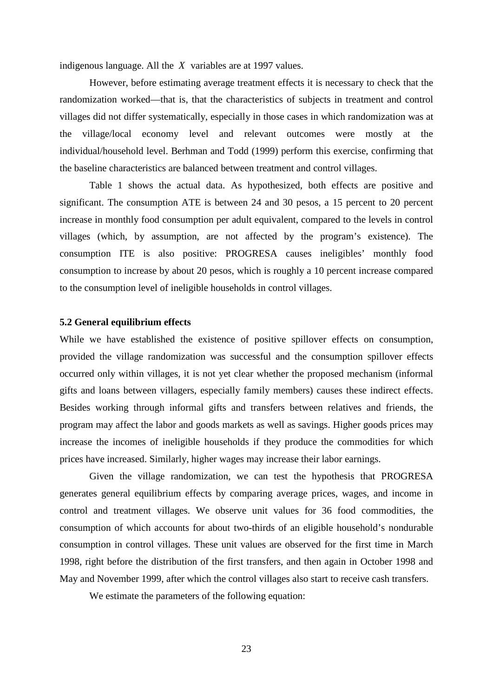indigenous language. All the *X* variables are at 1997 values.

However, before estimating average treatment effects it is necessary to check that the randomization worked—that is, that the characteristics of subjects in treatment and control villages did not differ systematically, especially in those cases in which randomization was at the village/local economy level and relevant outcomes were mostly at the individual/household level. Berhman and Todd (1999) perform this exercise, confirming that the baseline characteristics are balanced between treatment and control villages.

Table 1 shows the actual data. As hypothesized, both effects are positive and significant. The consumption ATE is between 24 and 30 pesos, a 15 percent to 20 percent increase in monthly food consumption per adult equivalent, compared to the levels in control villages (which, by assumption, are not affected by the program's existence). The consumption ITE is also positive: PROGRESA causes ineligibles' monthly food consumption to increase by about 20 pesos, which is roughly a 10 percent increase compared to the consumption level of ineligible households in control villages.

#### **5.2 General equilibrium effects**

While we have established the existence of positive spillover effects on consumption, provided the village randomization was successful and the consumption spillover effects occurred only within villages, it is not yet clear whether the proposed mechanism (informal gifts and loans between villagers, especially family members) causes these indirect effects. Besides working through informal gifts and transfers between relatives and friends, the program may affect the labor and goods markets as well as savings. Higher goods prices may increase the incomes of ineligible households if they produce the commodities for which prices have increased. Similarly, higher wages may increase their labor earnings.

Given the village randomization, we can test the hypothesis that PROGRESA generates general equilibrium effects by comparing average prices, wages, and income in control and treatment villages. We observe unit values for 36 food commodities, the consumption of which accounts for about two-thirds of an eligible household's nondurable consumption in control villages. These unit values are observed for the first time in March 1998, right before the distribution of the first transfers, and then again in October 1998 and May and November 1999, after which the control villages also start to receive cash transfers.

We estimate the parameters of the following equation: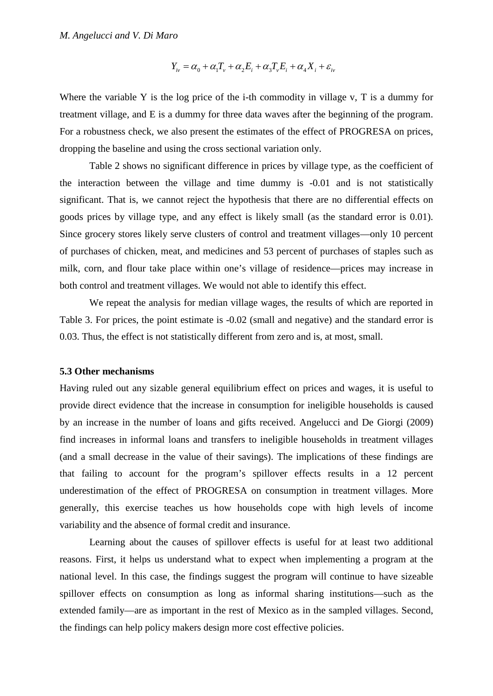$$
Y_{iv} = \alpha_0 + \alpha_1 T_v + \alpha_2 E_i + \alpha_3 T_v E_i + \alpha_4 X_i + \varepsilon_{iv}
$$

Where the variable Y is the log price of the i-th commodity in village v,  $T$  is a dummy for treatment village, and E is a dummy for three data waves after the beginning of the program. For a robustness check, we also present the estimates of the effect of PROGRESA on prices, dropping the baseline and using the cross sectional variation only.

Table 2 shows no significant difference in prices by village type, as the coefficient of the interaction between the village and time dummy is -0.01 and is not statistically significant. That is, we cannot reject the hypothesis that there are no differential effects on goods prices by village type, and any effect is likely small (as the standard error is 0.01). Since grocery stores likely serve clusters of control and treatment villages—only 10 percent of purchases of chicken, meat, and medicines and 53 percent of purchases of staples such as milk, corn, and flour take place within one's village of residence—prices may increase in both control and treatment villages. We would not able to identify this effect.

We repeat the analysis for median village wages, the results of which are reported in Table 3. For prices, the point estimate is -0.02 (small and negative) and the standard error is 0.03. Thus, the effect is not statistically different from zero and is, at most, small.

#### **5.3 Other mechanisms**

Having ruled out any sizable general equilibrium effect on prices and wages, it is useful to provide direct evidence that the increase in consumption for ineligible households is caused by an increase in the number of loans and gifts received. Angelucci and De Giorgi (2009) find increases in informal loans and transfers to ineligible households in treatment villages (and a small decrease in the value of their savings). The implications of these findings are that failing to account for the program's spillover effects results in a 12 percent underestimation of the effect of PROGRESA on consumption in treatment villages. More generally, this exercise teaches us how households cope with high levels of income variability and the absence of formal credit and insurance.

Learning about the causes of spillover effects is useful for at least two additional reasons. First, it helps us understand what to expect when implementing a program at the national level. In this case, the findings suggest the program will continue to have sizeable spillover effects on consumption as long as informal sharing institutions—such as the extended family—are as important in the rest of Mexico as in the sampled villages. Second, the findings can help policy makers design more cost effective policies.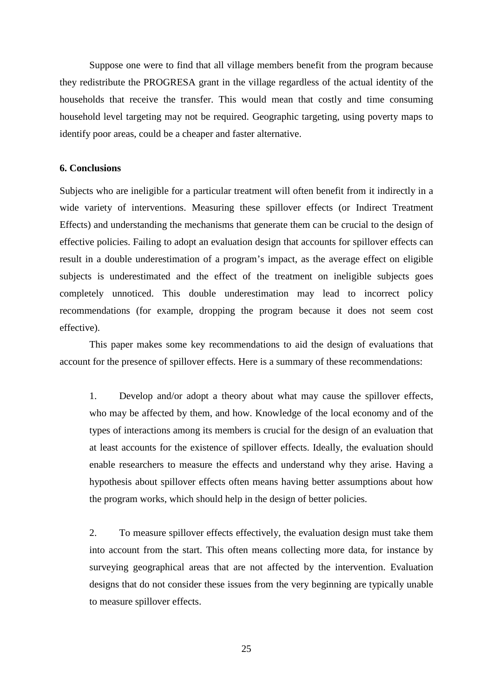Suppose one were to find that all village members benefit from the program because they redistribute the PROGRESA grant in the village regardless of the actual identity of the households that receive the transfer. This would mean that costly and time consuming household level targeting may not be required. Geographic targeting, using poverty maps to identify poor areas, could be a cheaper and faster alternative.

#### **6. Conclusions**

Subjects who are ineligible for a particular treatment will often benefit from it indirectly in a wide variety of interventions. Measuring these spillover effects (or Indirect Treatment Effects) and understanding the mechanisms that generate them can be crucial to the design of effective policies. Failing to adopt an evaluation design that accounts for spillover effects can result in a double underestimation of a program's impact, as the average effect on eligible subjects is underestimated and the effect of the treatment on ineligible subjects goes completely unnoticed. This double underestimation may lead to incorrect policy recommendations (for example, dropping the program because it does not seem cost effective).

This paper makes some key recommendations to aid the design of evaluations that account for the presence of spillover effects. Here is a summary of these recommendations:

1. Develop and/or adopt a theory about what may cause the spillover effects, who may be affected by them, and how. Knowledge of the local economy and of the types of interactions among its members is crucial for the design of an evaluation that at least accounts for the existence of spillover effects. Ideally, the evaluation should enable researchers to measure the effects and understand why they arise. Having a hypothesis about spillover effects often means having better assumptions about how the program works, which should help in the design of better policies.

2. To measure spillover effects effectively, the evaluation design must take them into account from the start. This often means collecting more data, for instance by surveying geographical areas that are not affected by the intervention. Evaluation designs that do not consider these issues from the very beginning are typically unable to measure spillover effects.

25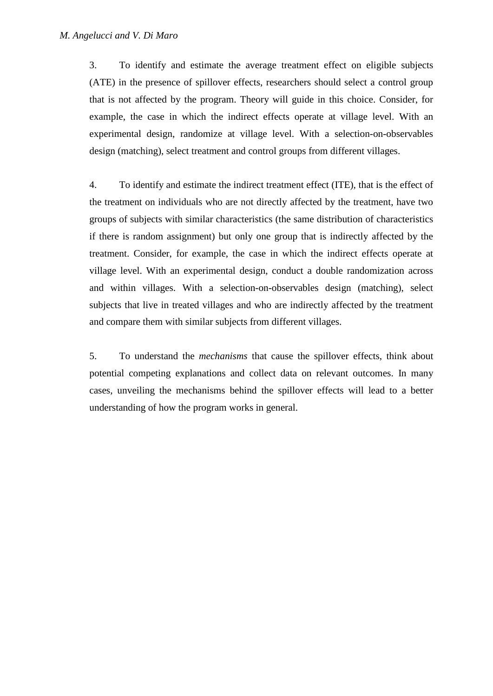3. To identify and estimate the average treatment effect on eligible subjects (ATE) in the presence of spillover effects, researchers should select a control group that is not affected by the program. Theory will guide in this choice. Consider, for example, the case in which the indirect effects operate at village level. With an experimental design, randomize at village level. With a selection-on-observables design (matching), select treatment and control groups from different villages.

4. To identify and estimate the indirect treatment effect (ITE), that is the effect of the treatment on individuals who are not directly affected by the treatment, have two groups of subjects with similar characteristics (the same distribution of characteristics if there is random assignment) but only one group that is indirectly affected by the treatment. Consider, for example, the case in which the indirect effects operate at village level. With an experimental design, conduct a double randomization across and within villages. With a selection-on-observables design (matching), select subjects that live in treated villages and who are indirectly affected by the treatment and compare them with similar subjects from different villages.

5. To understand the *mechanisms* that cause the spillover effects, think about potential competing explanations and collect data on relevant outcomes. In many cases, unveiling the mechanisms behind the spillover effects will lead to a better understanding of how the program works in general.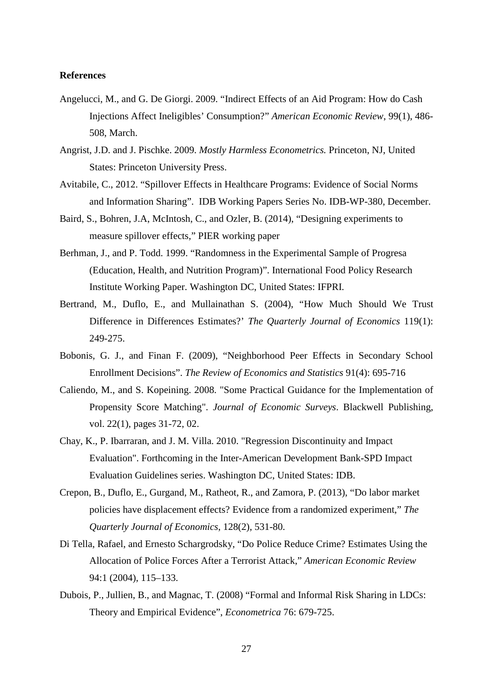#### **References**

- Angelucci, M., and G. De Giorgi. 2009. "Indirect Effects of an Aid Program: How do Cash Injections Affect Ineligibles' Consumption?" *American Economic Review*, 99(1), 486- 508, March.
- Angrist, J.D. and J. Pischke. 2009. *Mostly Harmless Econometrics.* Princeton, NJ, United States: Princeton University Press.
- Avitabile, C., 2012. "Spillover Effects in Healthcare Programs: Evidence of Social Norms and Information Sharing". IDB Working Papers Series No. IDB-WP-380, December.
- Baird, S., Bohren, J.A, McIntosh, C., and Ozler, B. (2014), "Designing experiments to measure spillover effects," PIER working paper
- Berhman, J., and P. Todd. 1999. "Randomness in the Experimental Sample of Progresa (Education, Health, and Nutrition Program)". International Food Policy Research Institute Working Paper. Washington DC, United States: IFPRI.
- Bertrand, M., Duflo, E., and Mullainathan S. (2004), "How Much Should We Trust Difference in Differences Estimates?' *The Quarterly Journal of Economics* 119(1): 249-275.
- Bobonis, G. J., and Finan F. (2009), "Neighborhood Peer Effects in Secondary School Enrollment Decisions". *The Review of Economics and Statistics* 91(4): 695-716
- Caliendo, M., and S. Kopeining. 2008. "Some Practical Guidance for the Implementation of Propensity Score Matching". *Journal of Economic Surveys*. Blackwell Publishing, vol. 22(1), pages 31-72, 02.
- Chay, K., P. Ibarraran, and J. M. Villa. 2010. "Regression Discontinuity and Impact Evaluation". Forthcoming in the Inter-American Development Bank-SPD Impact Evaluation Guidelines series. Washington DC, United States: IDB.
- Crepon, B., Duflo, E., Gurgand, M., Ratheot, R., and Zamora, P. (2013), "Do labor market policies have displacement effects? Evidence from a randomized experiment," *The Quarterly Journal of Economics*, 128(2), 531-80.
- Di Tella, Rafael, and Ernesto Schargrodsky, "Do Police Reduce Crime? Estimates Using the Allocation of Police Forces After a Terrorist Attack," *American Economic Review* 94:1 (2004), 115–133.
- Dubois, P., Jullien, B., and Magnac, T. (2008) "Formal and Informal Risk Sharing in LDCs: Theory and Empirical Evidence", *Econometrica* 76: 679-725.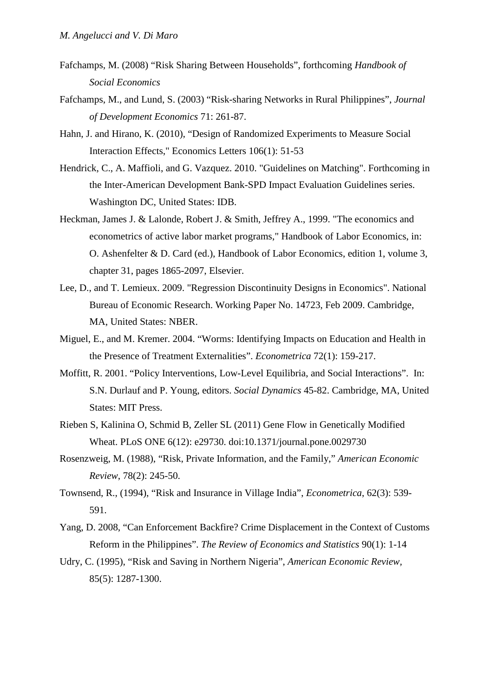- Fafchamps, M. (2008) "Risk Sharing Between Households", forthcoming *Handbook of Social Economics*
- Fafchamps, M., and Lund, S. (2003) "Risk-sharing Networks in Rural Philippines", *Journal of Development Economics* 71: 261-87.
- Hahn, J. and Hirano, K. (2010), "Design of Randomized Experiments to Measure Social Interaction Effects," [Economics Letters](http://dx.doi.org/10.1016/j.econlet.2009.09.023) 106(1): 51-53
- Hendrick, C., A. Maffioli, and G. Vazquez. 2010. "Guidelines on Matching". Forthcoming in the Inter-American Development Bank-SPD Impact Evaluation Guidelines series. Washington DC, United States: IDB.
- Heckman, James J. & Lalonde, Robert J. & Smith, Jeffrey A., 1999. "The economics and econometrics of active labor market programs," Handbook of Labor Economics, in: O. Ashenfelter & D. Card (ed.), Handbook of Labor Economics, edition 1, volume 3, chapter 31, pages 1865-2097, Elsevier.
- Lee, D., and T. Lemieux. 2009. "Regression Discontinuity Designs in Economics". National Bureau of Economic Research. Working Paper No. 14723, Feb 2009. Cambridge, MA, United States: NBER.
- Miguel, E., and M. Kremer. 2004. "Worms: Identifying Impacts on Education and Health in the Presence of Treatment Externalities". *Econometrica* 72(1): 159-217.
- Moffitt, R. 2001. "Policy Interventions, Low-Level Equilibria, and Social Interactions". In: S.N. Durlauf and P. Young, editors. *Social Dynamics* 45-82. Cambridge, MA, United States: MIT Press.
- Rieben S, Kalinina O, Schmid B, Zeller SL (2011) Gene Flow in Genetically Modified Wheat. PLoS ONE 6(12): e29730. doi:10.1371/journal.pone.0029730
- Rosenzweig, M. (1988), "Risk, Private Information, and the Family," *American Economic Review*, 78(2): 245-50.
- Townsend, R., (1994), "Risk and Insurance in Village India", *Econometrica*, 62(3): 539- 591.
- Yang, D. 2008, "Can Enforcement Backfire? Crime Displacement in the Context of Customs Reform in the Philippines". *The Review of Economics and Statistics* 90(1): 1-14
- Udry, C. (1995), "Risk and Saving in Northern Nigeria", *American Economic Review,* 85(5): 1287-1300.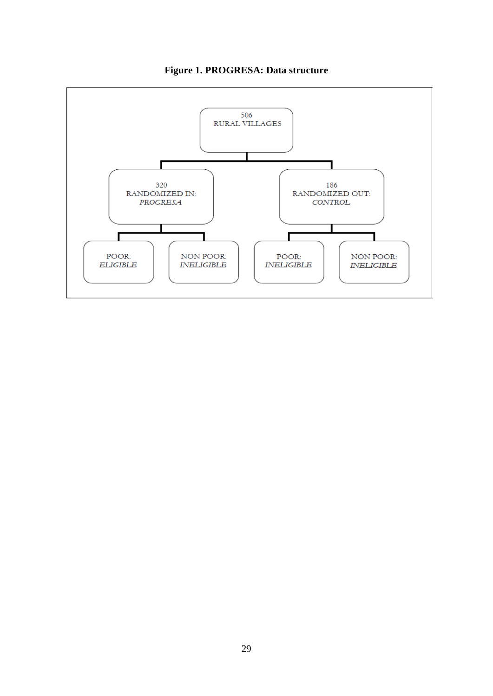

**Figure 1. PROGRESA: Data structure**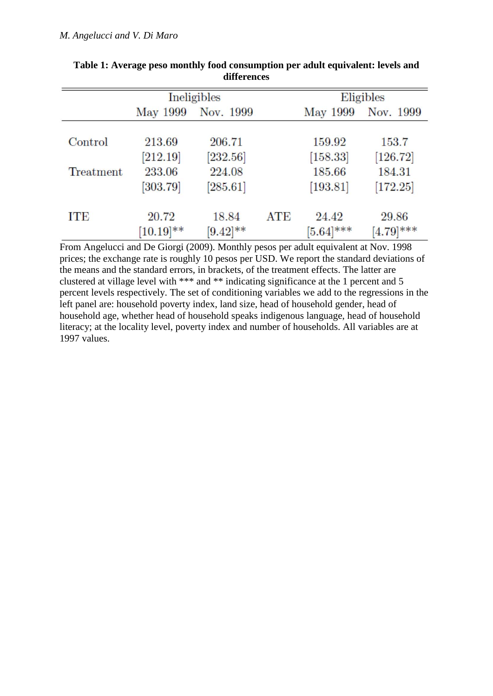|           |              | Ineligibles |            | Eligibles    |              |  |  |
|-----------|--------------|-------------|------------|--------------|--------------|--|--|
|           | May 1999     | Nov. 1999   |            | May 1999     | Nov. 1999    |  |  |
| Control   | 213.69       | 206.71      |            | 159.92       | 153.7        |  |  |
|           | [212.19]     | [232.56]    |            | [158.33]     | [126.72]     |  |  |
| Treatment | 233.06       | 224.08      |            | 185.66       | 184.31       |  |  |
|           | [303.79]     | [285.61]    |            | [193.81]     | [172.25]     |  |  |
| ITE       | 20.72        | 18.84       | <b>ATE</b> | 24.42        | 29.86        |  |  |
|           | $[10.19]$ ** | $[9.42]$ ** |            | $[5.64]$ *** | $[4.79]$ *** |  |  |

**Table 1: Average peso monthly food consumption per adult equivalent: levels and differences**

From Angelucci and De Giorgi (2009). Monthly pesos per adult equivalent at Nov. 1998 prices; the exchange rate is roughly 10 pesos per USD. We report the standard deviations of the means and the standard errors, in brackets, of the treatment effects. The latter are clustered at village level with \*\*\* and \*\* indicating significance at the 1 percent and 5 percent levels respectively. The set of conditioning variables we add to the regressions in the left panel are: household poverty index, land size, head of household gender, head of household age, whether head of household speaks indigenous language, head of household literacy; at the locality level, poverty index and number of households. All variables are at 1997 values.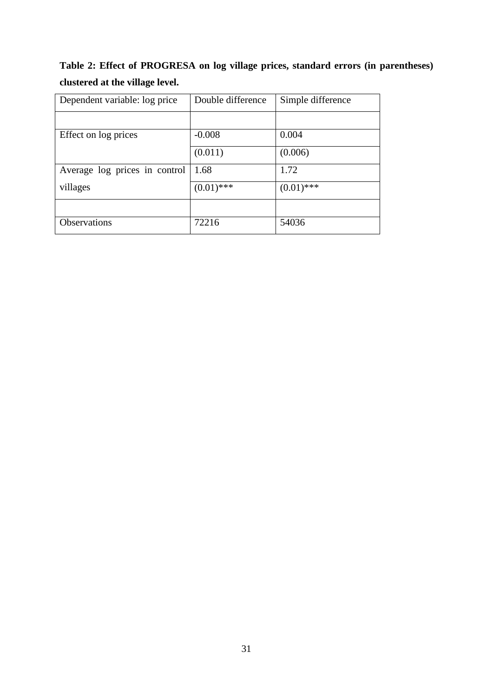| Table 2: Effect of PROGRESA on log village prices, standard errors (in parentheses) |  |  |  |  |
|-------------------------------------------------------------------------------------|--|--|--|--|
| clustered at the village level.                                                     |  |  |  |  |

| Dependent variable: log price | Double difference | Simple difference |  |  |
|-------------------------------|-------------------|-------------------|--|--|
|                               |                   |                   |  |  |
| Effect on log prices          | $-0.008$          | 0.004             |  |  |
|                               | (0.011)           | (0.006)           |  |  |
| Average log prices in control | 1.68              | 1.72              |  |  |
| villages                      | $(0.01)$ ***      | $(0.01)$ ***      |  |  |
|                               |                   |                   |  |  |
| Observations                  | 72216             | 54036             |  |  |